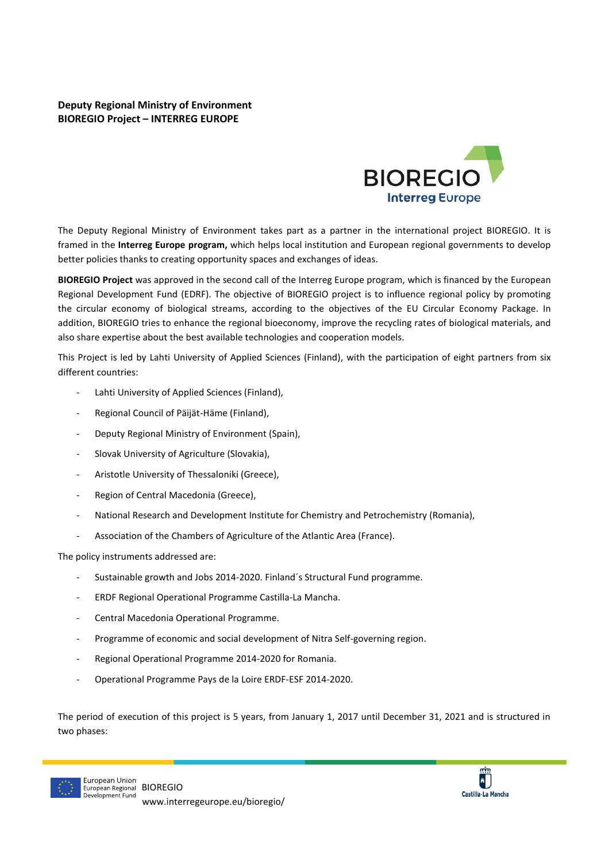## **Deputy Regional Ministry of Environment BIOREGIO Project – INTERREG EUROPE**



The Deputy Regional Ministry of Environment takes part as a partner in the international project BIOREGIO. It is framed in the **Interreg Europe program,** which helps local institution and European regional governments to develop better policies thanks to creating opportunity spaces and exchanges of ideas.

**BIOREGIO Project** was approved in the second call of the Interreg Europe program, which is financed by the European Regional Development Fund (EDRF). The objective of BIOREGIO project is to influence regional policy by promoting the circular economy of biological streams, according to the objectives of the EU Circular Economy Package. In addition, BIOREGIO tries to enhance the regional bioeconomy, improve the recycling rates of biological materials, and also share expertise about the best available technologies and cooperation models.

This Project is led by Lahti University of Applied Sciences (Finland), with the participation of eight partners from six different countries:

- Lahti University of Applied Sciences (Finland),
- Regional Council of Päijät-Häme (Finland),
- Deputy Regional Ministry of Environment (Spain),
- Slovak University of Agriculture (Slovakia),
- Aristotle University of Thessaloniki (Greece),
- Region of Central Macedonia (Greece),
- National Research and Development Institute for Chemistry and Petrochemistry (Romania),
- Association of the Chambers of Agriculture of the Atlantic Area (France).

The policy instruments addressed are:

- Sustainable growth and Jobs 2014-2020. Finland´s Structural Fund programme.
- ERDF Regional Operational Programme Castilla-La Mancha.
- Central Macedonia Operational Programme.
- Programme of economic and social development of Nitra Self-governing region.
- Regional Operational Programme 2014-2020 for Romania.
- Operational Programme Pays de la Loire ERDF-ESF 2014-2020.

The period of execution of this project is 5 years, from January 1, 2017 until December 31, 2021 and is structured in two phases: